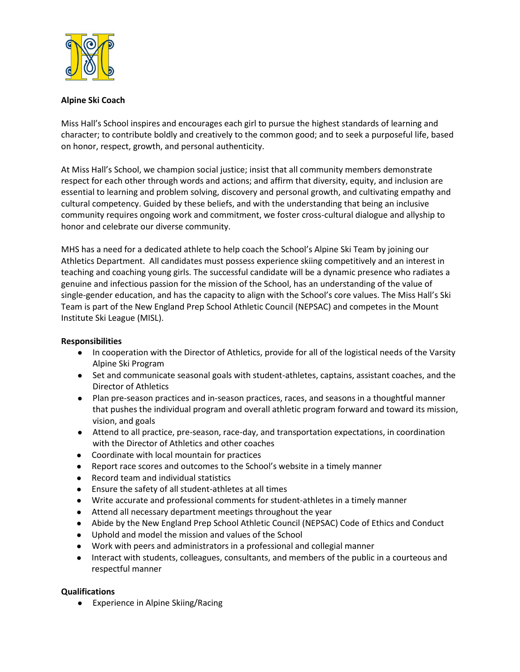

## **Alpine Ski Coach**

Miss Hall's School inspires and encourages each girl to pursue the highest standards of learning and character; to contribute boldly and creatively to the common good; and to seek a purposeful life, based on honor, respect, growth, and personal authenticity.

At Miss Hall's School, we champion social justice; insist that all community members demonstrate respect for each other through words and actions; and affirm that diversity, equity, and inclusion are essential to learning and problem solving, discovery and personal growth, and cultivating empathy and cultural competency. Guided by these beliefs, and with the understanding that being an inclusive community requires ongoing work and commitment, we foster cross-cultural dialogue and allyship to honor and celebrate our diverse community.

MHS has a need for a dedicated athlete to help coach the School's Alpine Ski Team by joining our Athletics Department. All candidates must possess experience skiing competitively and an interest in teaching and coaching young girls. The successful candidate will be a dynamic presence who radiates a genuine and infectious passion for the mission of the School, has an understanding of the value of single-gender education, and has the capacity to align with the School's core values. The Miss Hall's Ski Team is part of the New England Prep School Athletic Council (NEPSAC) and competes in the Mount Institute Ski League (MISL).

## **Responsibilities**

- In cooperation with the Director of Athletics, provide for all of the logistical needs of the Varsity Alpine Ski Program
- Set and communicate seasonal goals with student-athletes, captains, assistant coaches, and the Director of Athletics
- Plan pre-season practices and in-season practices, races, and seasons in a thoughtful manner that pushes the individual program and overall athletic program forward and toward its mission, vision, and goals
- Attend to all practice, pre-season, race-day, and transportation expectations, in coordination with the Director of Athletics and other coaches
- Coordinate with local mountain for practices
- Report race scores and outcomes to the School's website in a timely manner
- Record team and individual statistics
- Ensure the safety of all student-athletes at all times
- Write accurate and professional comments for student-athletes in a timely manner
- Attend all necessary department meetings throughout the year
- Abide by the New England Prep School Athletic Council (NEPSAC) Code of Ethics and Conduct
- Uphold and model the mission and values of the School
- Work with peers and administrators in a professional and collegial manner
- Interact with students, colleagues, consultants, and members of the public in a courteous and respectful manner

## **Qualifications**

● Experience in Alpine Skiing/Racing